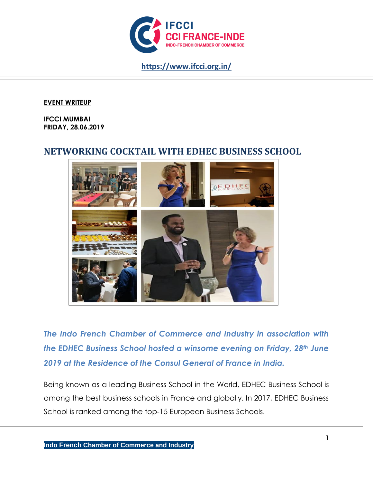

**https://www.ifcci.org.in/**

### **EVENT WRITEUP**

**IFCCI MUMBAI FRIDAY, 28.06.2019**

# **NETWORKING COCKTAIL WITH EDHEC BUSINESS SCHOOL**



*The Indo French Chamber of Commerce and Industry in association with the EDHEC Business School hosted a winsome evening on Friday, 28th June 2019 at the Residence of the Consul General of France in India.*

Being known as a leading Business School in the World, EDHEC Business School is among the best business schools in France and globally. In 2017, EDHEC Business School is ranked among the top-15 European Business Schools.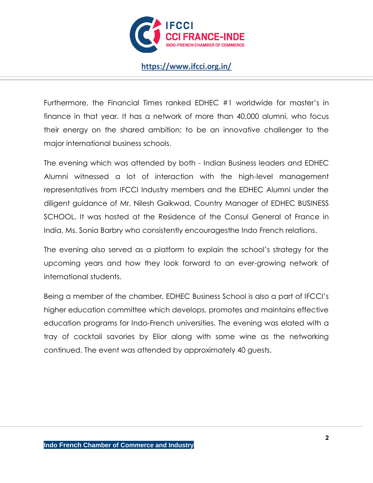

## **https://www.ifcci.org.in/**

Furthermore, the Financial Times ranked EDHEC #1 worldwide for master's in finance in that year. It has a network of more than 40,000 alumni, who focus their energy on the shared ambition: to be an innovative challenger to the major international business schools.

The evening which was attended by both - Indian Business leaders and EDHEC Alumni witnessed a lot of interaction with the high-level management representatives from IFCCI Industry members and the EDHEC Alumni under the diligent guidance of Mr. Nilesh Gaikwad, Country Manager of EDHEC BUSINESS SCHOOL. It was hosted at the Residence of the Consul General of France in India, Ms. Sonia Barbry who consistently encouragesthe Indo French relations.

The evening also served as a platform to explain the school's strategy for the upcoming years and how they look forward to an ever-growing network of international students.

Being a member of the chamber, EDHEC Business School is also a part of IFCCI's higher education committee which develops, promotes and maintains effective education programs for Indo-French universities. The evening was elated with a tray of cocktail savories by Elior along with some wine as the networking continued. The event was attended by approximately 40 guests.